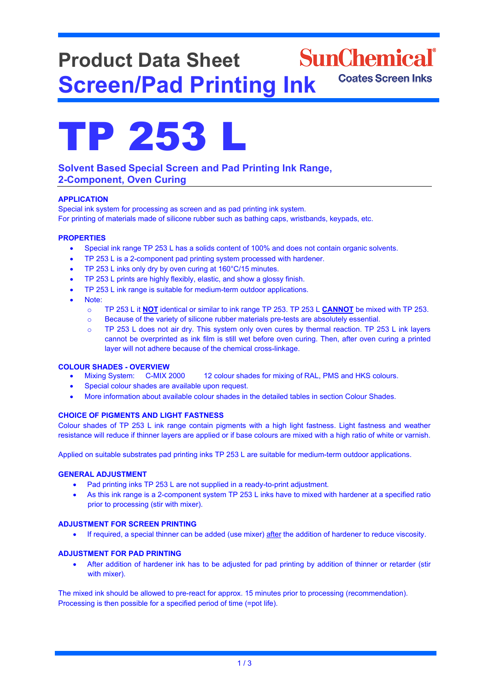# **SunChemical**<sup>®</sup> **Product Data Sheet Coates Screen Inks Screen/Pad Printing Ink**



# **Solvent Based Special Screen and Pad Printing Ink Range, 2-Component, Oven Curing**

# **APPLICATION**

Special ink system for processing as screen and as pad printing ink system. For printing of materials made of silicone rubber such as bathing caps, wristbands, keypads, etc.

# **PROPERTIES**

- Special ink range TP 253 L has a solids content of 100% and does not contain organic solvents.
- TP 253 L is a 2-component pad printing system processed with hardener.
- TP 253 L inks only dry by oven curing at 160°C/15 minutes.
- TP 253 L prints are highly flexibly, elastic, and show a glossy finish.
- TP 253 L ink range is suitable for medium-term outdoor applications.
- Note:
	- o TP 253 L it **NOT** identical or similar to ink range TP 253. TP 253 L **CANNOT** be mixed with TP 253.
	- o Because of the variety of silicone rubber materials pre-tests are absolutely essential.
	- o TP 253 L does not air dry. This system only oven cures by thermal reaction. TP 253 L ink layers cannot be overprinted as ink film is still wet before oven curing. Then, after oven curing a printed layer will not adhere because of the chemical cross-linkage.

- **COLOUR SHADES - OVERVIEW** 12 colour shades for mixing of RAL, PMS and HKS colours.
	- Special colour shades are available upon request.
	- More information about available colour shades in the detailed tables in section Colour Shades.

# **CHOICE OF PIGMENTS AND LIGHT FASTNESS**

Colour shades of TP 253 L ink range contain pigments with a high light fastness. Light fastness and weather resistance will reduce if thinner layers are applied or if base colours are mixed with a high ratio of white or varnish.

Applied on suitable substrates pad printing inks TP 253 L are suitable for medium-term outdoor applications.

# **GENERAL ADJUSTMENT**

- Pad printing inks TP 253 L are not supplied in a ready-to-print adjustment.
- As this ink range is a 2-component system TP 253 L inks have to mixed with hardener at a specified ratio prior to processing (stir with mixer).

# **ADJUSTMENT FOR SCREEN PRINTING**

• If required, a special thinner can be added (use mixer) after the addition of hardener to reduce viscosity.

# **ADJUSTMENT FOR PAD PRINTING**

• After addition of hardener ink has to be adjusted for pad printing by addition of thinner or retarder (stir with mixer).

The mixed ink should be allowed to pre-react for approx. 15 minutes prior to processing (recommendation). Processing is then possible for a specified period of time (=pot life).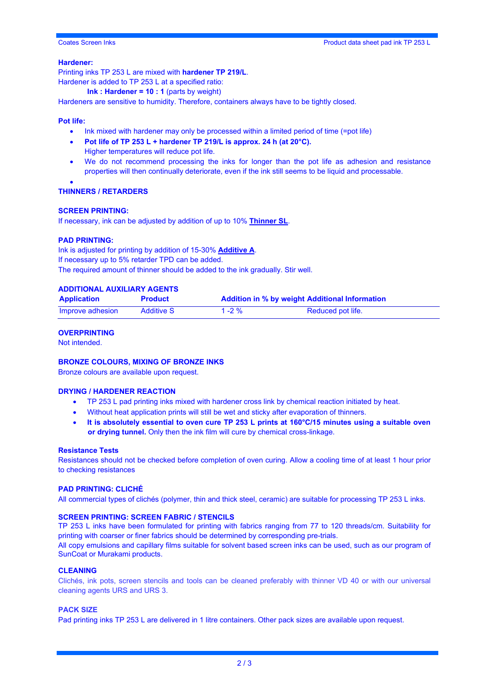# Coates Screen Inks Product data sheet pad ink TP 253 L

# **Hardener:**

Printing inks TP 253 L are mixed with **hardener TP 219/L**. Hardener is added to TP 253 L at a specified ratio:

**Ink : Hardener = 10 : 1** (parts by weight)

Hardeners are sensitive to humidity. Therefore, containers always have to be tightly closed.

# **Pot life:**

- Ink mixed with hardener may only be processed within a limited period of time (=pot life)
- **Pot life of TP 253 L + hardener TP 219/L is approx. 24 h (at 20°C).** Higher temperatures will reduce pot life.
- We do not recommend processing the inks for longer than the pot life as adhesion and resistance properties will then continually deteriorate, even if the ink still seems to be liquid and processable.

#### • **THINNERS / RETARDERS**

### **SCREEN PRINTING:**

If necessary, ink can be adjusted by addition of up to 10% **Thinner SL**.

#### **PAD PRINTING:**

Ink is adjusted for printing by addition of 15-30% **Additive A**. If necessary up to 5% retarder TPD can be added. The required amount of thinner should be added to the ink gradually. Stir well.

# **ADDITIONAL AUXILIARY AGENTS**

| <b>Application</b> | <b>Product</b>    | <b>Addition in % by weight Additional Information</b> |                   |
|--------------------|-------------------|-------------------------------------------------------|-------------------|
| Improve adhesion   | <b>Additive S</b> | 1 - 2 $%$                                             | Reduced pot life. |

### **OVERPRINTING**

Not intended.

#### **BRONZE COLOURS, MIXING OF BRONZE INKS**

Bronze colours are available upon request.

# **DRYING / HARDENER REACTION**

- TP 253 L pad printing inks mixed with hardener cross link by chemical reaction initiated by heat.
- Without heat application prints will still be wet and sticky after evaporation of thinners.
- **It is absolutely essential to oven cure TP 253 L prints at 160°C/15 minutes using a suitable oven or drying tunnel.** Only then the ink film will cure by chemical cross-linkage.

### **Resistance Tests**

Resistances should not be checked before completion of oven curing. Allow a cooling time of at least 1 hour prior to checking resistances

#### **PAD PRINTING: CLICHÉ**

All commercial types of clichés (polymer, thin and thick steel, ceramic) are suitable for processing TP 253 L inks.

# **SCREEN PRINTING: SCREEN FABRIC / STENCILS**

TP 253 L inks have been formulated for printing with fabrics ranging from 77 to 120 threads/cm. Suitability for printing with coarser or finer fabrics should be determined by corresponding pre-trials. All copy emulsions and capillary films suitable for solvent based screen inks can be used, such as our program of SunCoat or Murakami products.

#### **CLEANING**

Clichés, ink pots, screen stencils and tools can be cleaned preferably with thinner VD 40 or with our universal cleaning agents URS and URS 3.

#### **PACK SIZE**

Pad printing inks TP 253 L are delivered in 1 litre containers. Other pack sizes are available upon request.